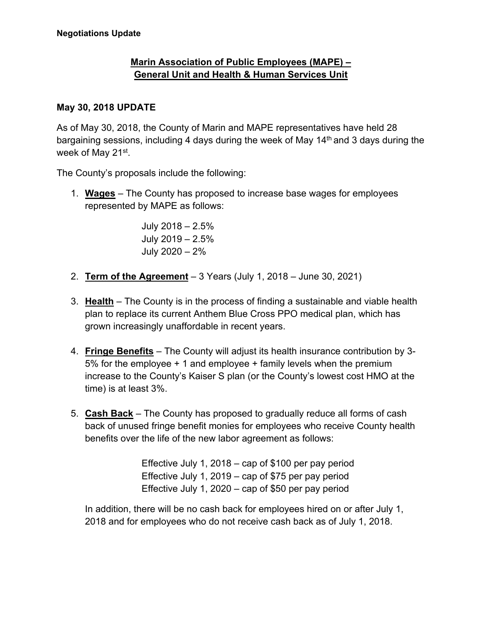## **Marin Association of Public Employees (MAPE) – General Unit and Health & Human Services Unit**

## **May 30, 2018 UPDATE**

As of May 30, 2018, the County of Marin and MAPE representatives have held 28 bargaining sessions, including 4 days during the week of May 14<sup>th</sup> and 3 days during the week of May 21st.

The County's proposals include the following:

1. **Wages** – The County has proposed to increase base wages for employees represented by MAPE as follows:

> July 2018 – 2.5% July 2019 – 2.5% July 2020 – 2%

- 2. **Term of the Agreement** 3 Years (July 1, 2018 June 30, 2021)
- 3. **Health** The County is in the process of finding a sustainable and viable health plan to replace its current Anthem Blue Cross PPO medical plan, which has grown increasingly unaffordable in recent years.
- 4. **Fringe Benefits** The County will adjust its health insurance contribution by 3- 5% for the employee + 1 and employee + family levels when the premium increase to the County's Kaiser S plan (or the County's lowest cost HMO at the time) is at least 3%.
- 5. **Cash Back** The County has proposed to gradually reduce all forms of cash back of unused fringe benefit monies for employees who receive County health benefits over the life of the new labor agreement as follows:

Effective July 1, 2018 – cap of \$100 per pay period Effective July 1, 2019 – cap of \$75 per pay period Effective July 1, 2020 – cap of \$50 per pay period

In addition, there will be no cash back for employees hired on or after July 1, 2018 and for employees who do not receive cash back as of July 1, 2018.